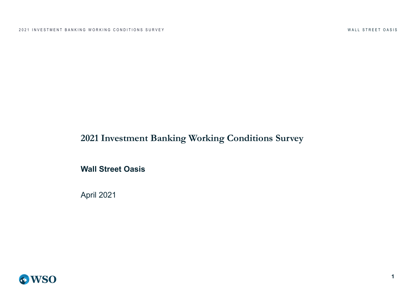# **2021 Investment Banking Working Conditions Survey**

**Wall Street Oasis**

April 2021

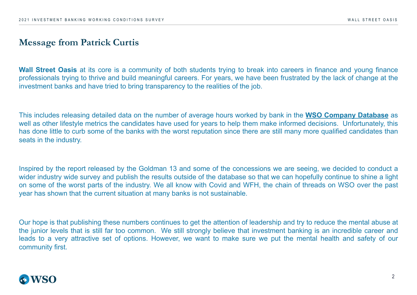2021 INVESTMENT BANKING WORKING CONDITIONS SURVEY

### **Message from Patrick Curtis**

**Wall Street Oasis** at its core is a community of both students trying to break into careers professionals trying to thrive and build meaningful careers. For years, we have been frustrate investment banks and have tried to bring transparency to the realities of the job.

This includes releasing detailed data on the number of average hours worked by bank in the well as other lifestyle metrics the candidates have used for years to help them make informed has done little to curb some of the banks with the worst reputation since there are still many seats in the industry.

Inspired by the report released by the Goldman 13 and some of the concessions we are set wider industry wide survey and publish the results outside of the database so that we can ho on some of the worst parts of the industry. We all know with Covid and WFH, the chain of year has shown that the current situation at many banks is not sustainable.

Our hope is that publishing these numbers continues to get the attention of leadership and try the junior levels that is still far too common. We still strongly believe that investment bank leads to a very attractive set of options. However, we want to make sure we put the mental community first.

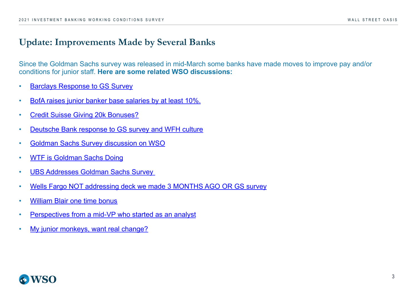[2021 INVESTMENT BANKING WORKING CONDITION](https://bit.ly/3u5VORE)S SURVEY

### **[Update: Improvements Made by Se](https://www.wallstreetoasis.com/forums/gs-analyst-survey-results)veral Banks**

[Since the Goldman Sachs survey](https://www.wallstreetoasis.com/forums/wtf-is-gs-doing) was released in mid-March some banks have made moves [conditions for junior staff.](https://bit.ly/3ciIROl) **Here are some related WSO discussions:**

- Barclays Response to GS Survey
- [BofA raises junior banker bas](https://www.wallstreetoasis.com/forums/william-blair-bonuses)e salaries by at least 10%.
- [Credit Suisse Giving 20k Bonuses?](https://www.wallstreetoasis.com/forums/perspectives-from-a-mid-vp-who-started-as-an-analyst)
- [Deutsche Bank response to GS survey](https://bit.ly/3u4JzEZ) and WFH culture
- Goldman Sachs Survey discussion on WSO
- WTF is Goldman Sachs Doing
- UBS Addresses Goldman Sachs Survey
- Wells Fargo NOT addressing deck we made 3 MONTHS AGO OR GS survey
- William Blair one time bonus
- Perspectives from a mid-VP who started as an analyst
- My junior monkeys, want real change?

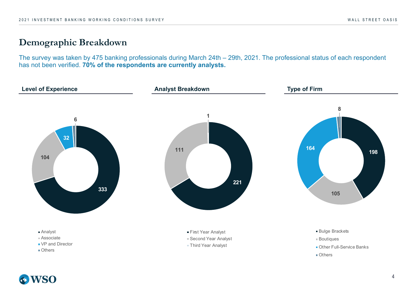### **Demographic Breakdown**

The survey was taken by 475 banking professionals during March 24th – 29th, 2021. The professional status of each respondent has not been verified. **70% of the respondents are currently analysts.**

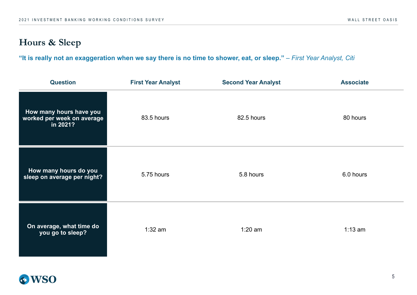# **Hours & Sleep**

"It is really not an exaggeration when we say there is no time to shower, eat, or sleep." - *First Year Analyst, Citi* 

| <b>Question</b>                                                   | <b>First Year Analyst</b> | <b>Second Year Analyst</b> | <b>Associate</b> |
|-------------------------------------------------------------------|---------------------------|----------------------------|------------------|
| How many hours have you<br>worked per week on average<br>in 2021? | 83.5 hours                | 82.5 hours                 | 80 hours         |
| How many hours do you<br>sleep on average per night?              | 5.75 hours                | 5.8 hours                  | 6.0 hours        |
| On average, what time do<br>you go to sleep?                      | $1:32$ am                 | $1:20$ am                  | $1:13$ am        |

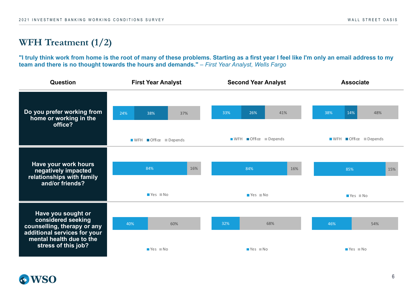# **WFH Treatment (1/2)**

**"I truly think work from home is the root of many of these problems. Starting as a first year I feel like I'm only an email address to my team and there is no thought towards the hours and demands."** – *First Year Analyst, Wells Fargo*

| Question                                                                        | <b>First Year Analyst</b>                     | <b>Second Year Analyst</b>                                                           | <b>Associate</b>                              |  |  |  |
|---------------------------------------------------------------------------------|-----------------------------------------------|--------------------------------------------------------------------------------------|-----------------------------------------------|--|--|--|
| Do you prefer working from<br>home or working in the<br>office?                 | 24%<br>38%<br>37%<br>■ WFH ■ Office ■ Depends | 33%<br>26%<br>41%<br>$\blacksquare$ WFH $\blacksquare$ Office $\blacksquare$ Depends | 38%<br>14%<br>48%<br>■ WFH ■ Office ■ Depends |  |  |  |
|                                                                                 |                                               |                                                                                      |                                               |  |  |  |
| Have your work hours<br>negatively impacted                                     | 84%<br>16%                                    | 84%<br>16%                                                                           | 85%<br>15%                                    |  |  |  |
| relationships with family<br>and/or friends?                                    | Yes No                                        | $Yes$ No                                                                             | ■ Yes ■ No                                    |  |  |  |
| Have you sought or                                                              |                                               |                                                                                      |                                               |  |  |  |
| considered seeking<br>counselling, therapy or any                               | 40%<br>60%                                    | 32%<br>68%                                                                           | 46%<br>54%                                    |  |  |  |
| additional services for your<br>mental health due to the<br>stress of this job? | Yes No                                        | $Yes$ No                                                                             | $Yes$ No                                      |  |  |  |

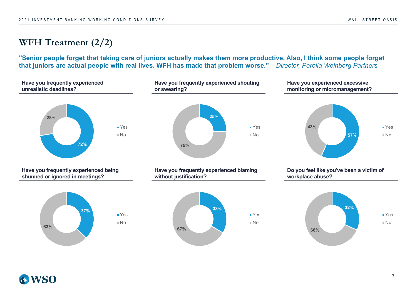# **WFH Treatment (2/2)**

**"Senior people forget that taking care of juniors actually makes them more productive. Also, I think some people forget that juniors are actual people with real lives. WFH has made that problem worse."** – *Director, Perella Weinberg Partners*

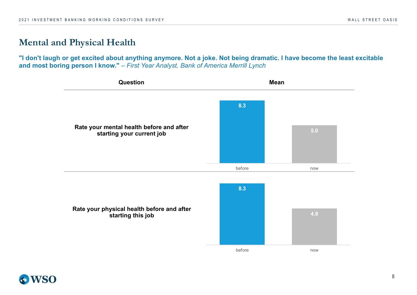### **Mental and Physical Health**

**"I don't laugh or get excited about anything anymore. Not a joke. Not being dramatic. I have become the least excitable and most boring person I know."** – *First Year Analyst, Bank of America Merrill Lynch*



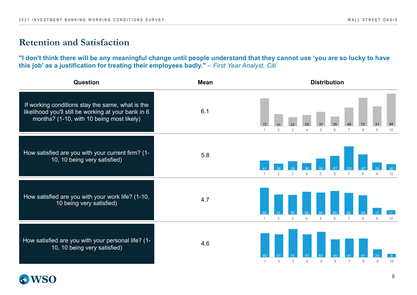### **Retention and Satisfaction**

**"I don't think there will be any meaningful change until people understand that they cannot use 'you are so lucky to have this job' as a justification for treating their employees badly."** – *First Year Analyst, Citi*

| <b>Question</b>                                                                                                                                       | <b>Mean</b>         | <b>Distribution</b>                                                               |  |  |  |  |  |  |  |
|-------------------------------------------------------------------------------------------------------------------------------------------------------|---------------------|-----------------------------------------------------------------------------------|--|--|--|--|--|--|--|
| If working conditions stay the same, what is the<br>likelihood you'll still be working at your bank in 6<br>months? (1-10, with 10 being most likely) | 6.1                 | 84<br>51<br>3<br>6<br>8<br>9<br>10<br>2<br>5                                      |  |  |  |  |  |  |  |
| How satisfied are you with your current firm? (1-<br>10, 10 being very satisfied)                                                                     | 5.8                 | 3<br>5<br>6<br>$\overline{7}$<br>8<br>9<br>10                                     |  |  |  |  |  |  |  |
| How satisfied are you with your work life? (1-10,<br>10 being very satisfied)                                                                         | 4.7<br>$\mathbf{1}$ | $\overline{2}$<br>3<br>5<br>6<br>$\overline{7}$<br>8<br>9<br>10<br>$\overline{4}$ |  |  |  |  |  |  |  |
| How satisfied are you with your personal life? (1-<br>10, 10 being very satisfied)                                                                    | 4.6<br>-1           | $\overline{2}$<br>3<br>5<br>6<br>$\overline{7}$<br>9<br>10<br>4<br>8              |  |  |  |  |  |  |  |

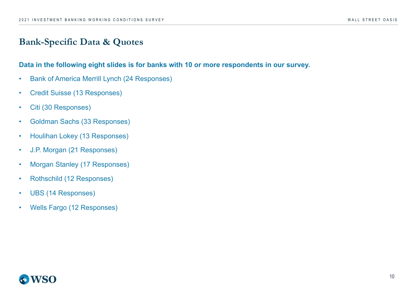### **Bank-Specific Data & Quotes**

#### **Data in the following eight slides is for banks with 10 or more respondents in our survey.**

- Bank of America Merrill Lynch (24 Responses)
- Credit Suisse (13 Responses)
- Citi (30 Responses)
- Goldman Sachs (33 Responses)
- Houlihan Lokey (13 Responses)
- J.P. Morgan (21 Responses)
- Morgan Stanley (17 Responses)
- Rothschild (12 Responses)
- UBS (14 Responses)
- Wells Fargo (12 Responses)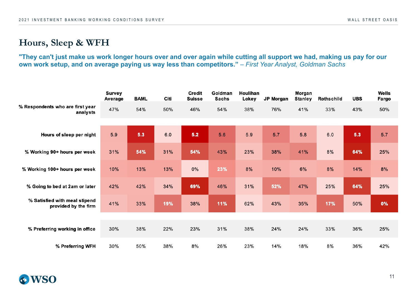### **Hours, Sleep & WFH**

**"They can't just make us work longer hours over and over again while cutting all support we had, making us pay for our own work setup, and on average paying us way less than competitors."** *– First Year Analyst, Goldman Sachs*

|                                                       | Survey<br>Average | <b>BAML</b> | Citi | <b>Credit</b><br><b>Suisse</b> | Goldman<br><b>Sachs</b> | Houlihan<br>Lokey | <b>JP Morgan</b> | Morgan<br><b>Stanley</b> | Rothschild | <b>UBS</b> | Wells<br>Fargo |
|-------------------------------------------------------|-------------------|-------------|------|--------------------------------|-------------------------|-------------------|------------------|--------------------------|------------|------------|----------------|
| % Respondents who are first year<br>analysts          | 47%               | 54%         | 50%  | 46%                            | 54%                     | 38%               | 76%              | 41%                      | 33%        | 43%        | 50%            |
|                                                       |                   |             |      |                                |                         |                   |                  |                          |            |            |                |
| Hours of sleep per night                              | 5.9               | 5.3         | 6.0  | 5.2                            | 5.6                     | 5.9               | 5.7              | 5.8                      | 6.0        | 5.3        | 5.7            |
| % Working 90+ hours per week                          | 31%               | 54%         | 31%  | 54%                            | 43%                     | 23%               | 38%              | 41%                      | 8%         | 64%        | 25%            |
| % Working 100+ hours per week                         | 10%               | 13%         | 13%  | 0%                             | 23%                     | 8%                | 10%              | 6%                       | 8%         | 14%        | 8%             |
| % Going to bed at 2am or later                        | 42%               | 42%         | 34%  | 69%                            | 46%                     | 31%               | 52%              | 47%                      | 25%        | 64%        | 25%            |
| % Satisfied with meal stipend<br>provided by the firm | 41%               | 33%         | 19%  | 38%                            | 11%                     | 62%               | 43%              | 35%                      | 17%        | 50%        | 0%             |
|                                                       |                   |             |      |                                |                         |                   |                  |                          |            |            |                |
| % Preferring working in office                        | 30%               | 38%         | 22%  | 23%                            | 31%                     | 38%               | 24%              | 24%                      | 33%        | 36%        | 25%            |
| % Preferring WFH                                      | 30%               | 50%         | 38%  | 8%                             | 26%                     | 23%               | 14%              | 18%                      | 8%         | 36%        | 42%            |

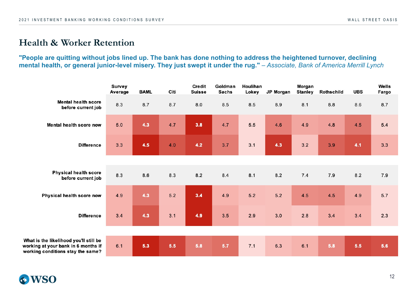### **Health & Worker Retention**

#### **"People are quitting without jobs lined up. The bank has done nothing to address the heightened turnover, declining**  mental health, or general junior-level misery. They just swept it under the rug." - Associate, Bank of America Merrill Lynch

|                                                                                                                    | Survey<br>Average | <b>BAML</b> | Citi  | Credit<br><b>Suisse</b> | Goldman<br><b>Sachs</b> | Houlihan<br>Lokey | <b>JP Morgan</b> | Morgan<br><b>Stanley</b> | Rothschild | <b>UBS</b> | Wells<br>Fargo |
|--------------------------------------------------------------------------------------------------------------------|-------------------|-------------|-------|-------------------------|-------------------------|-------------------|------------------|--------------------------|------------|------------|----------------|
| <b>Mental health score</b><br>before current job                                                                   | 8.3               | 8.7         | 8.7   | 8.0                     | 8.5                     | 8.5               | 8.9              | 8.1                      | $8.8\,$    | 8.6        | 8.7            |
| Mental health score now                                                                                            | 5.0               | 4.3         | 4.7   | 3.8                     | 4.7                     | 5.5               | 4.6              | 4.9                      | 4.8        | 4.5        | 5.4            |
| <b>Difference</b>                                                                                                  | 3.3               | 4.5         | 4.0   | 4.2                     | 3.7                     | 3.1               | 4.3              | 3.2                      | 3.9        | 4.1        | 3.3            |
|                                                                                                                    |                   |             |       |                         |                         |                   |                  |                          |            |            |                |
| <b>Physical health score</b><br>before current job                                                                 | 8.3               | 8.6         | 8.3   | 8.2                     | 8.4                     | 8.1               | 8.2              | 7.4                      | 7.9        | 8.2        | 7.9            |
| Physical health score now                                                                                          | 4.9               | 4.3         | $5.2$ | 3.4                     | 4.9                     | $5.2$             | $5.2$            | 4.5                      | 4.5        | 4.9        | 5.7            |
| <b>Difference</b>                                                                                                  | 3.4               | 4.3         | 3.1   | 4.9                     | 3.5                     | 2.9               | 3.0              | 2.8                      | 3.4        | 3.4        | 2.3            |
|                                                                                                                    |                   |             |       |                         |                         |                   |                  |                          |            |            |                |
| What is the likelihood you'll still be<br>working at your bank in 6 months if<br>working conditions stay the same? | 6.1               | 5.3         | 5.5   | 5.8                     | 5.7                     | 7.1               | 6.3              | 6.1                      | 5.8        | 5.5        | 5.6            |

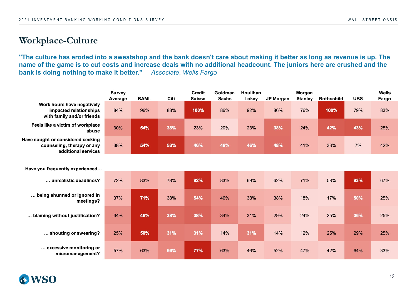### **Workplace-Culture**

**"The culture has eroded into a sweatshop and the bank doesn't care about making it better as long as revenue is up. The name of the game is to cut costs and increase deals with no additional headcount. The juniors here are crushed and the bank is doing nothing to make it better."** *– Associate*, *Wells Fargo*

|                                                                                        | <b>Survey</b><br>Average | <b>BAML</b> | Citi | <b>Credit</b><br><b>Suisse</b> | Goldman<br><b>Sachs</b> | Houlihan<br>Lokey | <b>JP Morgan</b> | Morgan<br><b>Stanley</b> | <b>Rothschild</b> | <b>UBS</b> | Wells<br>Fargo |
|----------------------------------------------------------------------------------------|--------------------------|-------------|------|--------------------------------|-------------------------|-------------------|------------------|--------------------------|-------------------|------------|----------------|
| Work hours have negatively<br>impacted relationships<br>with family and/or friends     | 84%                      | 96%         | 88%  | 100%                           | 86%                     | 92%               | 86%              | 76%                      | 100%              | 79%        | 83%            |
| Feels like a victim of workplace<br>abuse                                              | 30%                      | 54%         | 38%  | 23%                            | 20%                     | 23%               | 38%              | 24%                      | 42%               | 43%        | 25%            |
| Have sought or considered seeking<br>counseling, therapy or any<br>additional services | 38%                      | 54%         | 53%  | 46%                            | 46%                     | 46%               | 48%              | 41%                      | 33%               | 7%         | 42%            |
|                                                                                        |                          |             |      |                                |                         |                   |                  |                          |                   |            |                |
| Have you frequently experienced                                                        |                          |             |      |                                |                         |                   |                  |                          |                   |            |                |
| unrealistic deadlines?                                                                 | 72%                      | 83%         | 78%  | 92%                            | 83%                     | 69%               | 62%              | 71%                      | 58%               | 93%        | 67%            |
| being shunned or ignored in<br>meetings?                                               | 37%                      | 71%         | 38%  | 54%                            | 46%                     | 38%               | 38%              | 18%                      | 17%               | 50%        | 25%            |
| blaming without justification?                                                         | 34%                      | 46%         | 38%  | 38%                            | 34%                     | 31%               | 29%              | 24%                      | 25%               | 36%        | 25%            |
| shouting or swearing?                                                                  | 25%                      | 50%         | 31%  | 31%                            | 14%                     | 31%               | 14%              | 12%                      | 25%               | 29%        | 25%            |
| excessive monitoring or<br>micromanagement?                                            | 57%                      | 63%         | 66%  | 77%                            | 63%                     | 46%               | 52%              | 47%                      | 42%               | 64%        | 33%            |

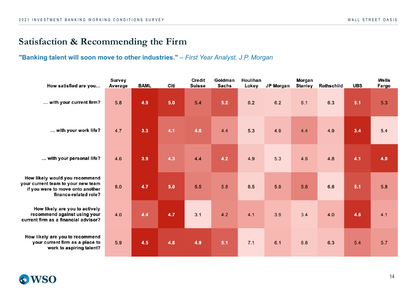### **Satisfaction & Recommending the Firm**

### **"Banking talent will soon move to other industries."** *– First Year Analyst, J.P. Morgan*

| How satisfied are you                                                                                                             | <b>Survey</b><br>Average | <b>BAML</b> | Citi | <b>Credit</b><br><b>Suisse</b> | Goldman<br><b>Sachs</b> | Houlihan<br>Lokey | <b>JP Morgan</b> | Morgan<br><b>Stanley</b> | <b>Rothschild</b> | <b>UBS</b> | Wells<br>Fargo |
|-----------------------------------------------------------------------------------------------------------------------------------|--------------------------|-------------|------|--------------------------------|-------------------------|-------------------|------------------|--------------------------|-------------------|------------|----------------|
| with your current firm?                                                                                                           | 5.8                      | 4.9         | 5.0  | 5.4                            | 5.2                     | 6.2               | 6.2              | 6.1                      | 6.3               | 5.1        | 5.3            |
| with your work life?                                                                                                              | 4.7                      | 3.3         | 4.1  | 4.0                            | 4.4                     | 5.3               | 4.9              | 4.4                      | 4.9               | 3.4        | 5.4            |
| with your personal life?                                                                                                          | 4.6                      | 3.9         | 4.3  | 4.4                            | 4.2                     | 4.9               | 5.3              | 4.6                      | 4.8               | 4.1        | 4.0            |
| How likely would you recommend<br>your current team to your new team<br>if you were to move onto another<br>finance-related role? | 6.0                      | 4.7         | 5.0  | $5.5$                          | 5.6                     | 6.5               | 5.9              | 5.6                      | 6.6               | 5.1        | 5.8            |
| How likely are you to actively<br>recommend against using your<br>current firm as a financial advisor?                            | 4.0                      | 4.4         | 4.7  | 3.1                            | 4.2                     | 4.1               | 3.9              | 3.4                      | 4.0               | 4.6        | 4.1            |
| How likely are you to recommend<br>your current firm as a place to<br>work to aspiring talent?                                    | 5.9                      | 4.5         | 4.8  | 4.9                            | 5.1                     | 7.1               | 6.1              | 6.6                      | 6.3               | 5.4        | 5.7            |

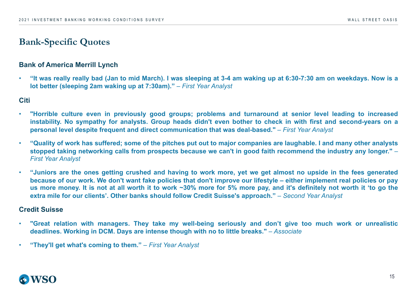#### **Bank of America Merrill Lynch**

. "It was really really bad (Jan to mid March). I was sleeping at 3-4 am waking up at 6:30-7:30 am on weekdays. Now is a **lot better (sleeping 2am waking up at 7:30am)."** *– First Year Analyst*

**Citi**

- **"Horrible culture even in previously good groups; problems and turnaround at senior level leading to increased** instability. No sympathy for analysts. Group heads didn't even bother to check in with first and second-years on a **personal level despite frequent and direct communication that was deal-based."** – *First Year Analyst*
- . "Quality of work has suffered; some of the pitches put out to major companies are laughable. I and many other analysts stopped taking networking calls from prospects because we can't in good faith recommend the industry any longer." -*First Year Analyst*
- . "Juniors are the ones getting crushed and having to work more, yet we get almost no upside in the fees generated because of our work. We don't want fake policies that don't improve our lifestyle – either implement real policies or pay us more money. It is not at all worth it to work ~30% more for 5% more pay, and it's definitely not worth it 'to go the **extra mile for our clients'. Other banks should follow Credit Suisse's approach."** *– Second Year Analyst*

#### **Credit Suisse**

- . "Great relation with managers. They take my well-being seriously and don't give too much work or unrealistic **deadlines. Working in DCM. Days are intense though with no to little breaks."** *– Associate*
- **"They'll get what's coming to them."** *– First Year Analyst*

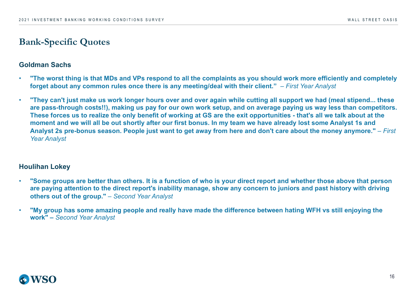#### **Goldman Sachs**

- **"The worst thing is that MDs and VPs respond to all the complaints as you should work more efficiently and completely forget about any common rules once there is any meeting/deal with their client."** *– First Year Analyst*
- **"They can't just make us work longer hours over and over again while cutting all support we had (meal stipend... these are pass-through costs!!), making us pay for our own work setup, and on average paying us way less than competitors. These forces us to realize the only benefit of working at GS are the exit opportunities - that's all we talk about at the moment and we will all be out shortly after our first bonus. In my team we have already lost some Analyst 1s and Analyst 2s pre-bonus season. People just want to get away from here and don't care about the money anymore."** *– First Year Analyst*

### **Houlihan Lokey**

- **"Some groups are better than others. It is a function of who is your direct report and whether those above that person are paying attention to the direct report's inability manage, show any concern to juniors and past history with driving others out of the group."** *– Second Year Analyst*
- **"My group has some amazing people and really have made the difference between hating WFH vs still enjoying the work"** *– Second Year Analyst*

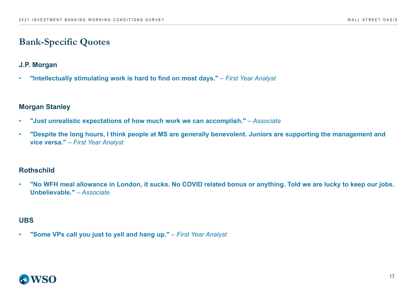### **J.P. Morgan**

• **"Intellectually stimulating work is hard to find on most days."** *– First Year Analyst*

#### **Morgan Stanley**

- **"Just unrealistic expectations of how much work we can accomplish."** *– Associate*
- **"Despite the long hours, I think people at MS are generally benevolent. Juniors are supporting the management and vice versa."** *– First Year Analyst*

### **Rothschild**

• **"No WFH meal allowance in London, it sucks. No COVID related bonus or anything. Told we are lucky to keep our jobs. Unbelievable."** *– Associate*

### **UBS**

• **"Some VPs call you just to yell and hang up."** *– First Year Analyst*

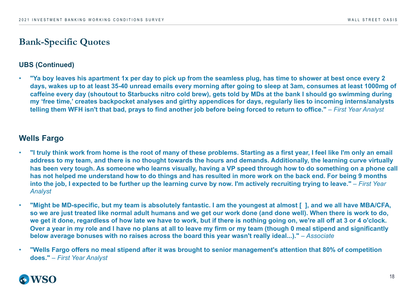#### **UBS (Continued)**

• **"Ya boy leaves his apartment 1x per day to pick up from the seamless plug, has time to shower at best once every 2 days, wakes up to at least 35-40 unread emails every morning after going to sleep at 3am, consumes at least 1000mg of caffeine every day (shoutout to Starbucks nitro cold brew), gets told by MDs at the bank I should go swimming during my 'free time,' creates backpocket analyses and girthy appendices for days, regularly lies to incoming interns/analysts telling them WFH isn't that bad, prays to find another job before being forced to return to office."** *– First Year Analyst*

### **Wells Fargo**

- **"I truly think work from home is the root of many of these problems. Starting as a first year, I feel like I'm only an email address to my team, and there is no thought towards the hours and demands. Additionally, the learning curve virtually has been very tough. As someone who learns visually, having a VP speed through how to do something on a phone call has not helped me understand how to do things and has resulted in more work on the back end. For being 9 months**  into the job, I expected to be further up the learning curve by now. I'm actively recruiting trying to leave." – *First Year Analyst*
- **"Might be MD-specific, but my team is absolutely fantastic. I am the youngest at almost [ ], and we all have MBA/CFA, so we are just treated like normal adult humans and we get our work done (and done well). When there is work to do, we get it done, regardless of how late we have to work, but if there is nothing going on, we're all off at 3 or 4 o'clock. Over a year in my role and I have no plans at all to leave my firm or my team (though 0 meal stipend and significantly below average bonuses with no raises across the board this year wasn't really ideal...)."** *– Associate*
- **"Wells Fargo offers no meal stipend after it was brought to senior management's attention that 80% of competition does."** *– First Year Analyst*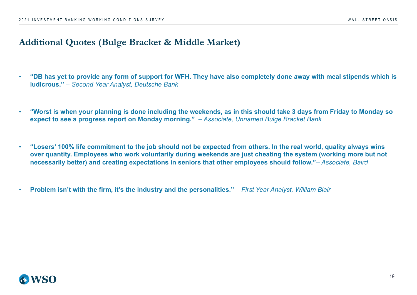### **Additional Quotes (Bulge Bracket & Middle Market)**

- **"DB has yet to provide any form of support for WFH. They have also completely done away with meal stipends which is ludicrous."** *– Second Year Analyst, Deutsche Bank*
- **"Worst is when your planning is done including the weekends, as in this should take 3 days from Friday to Monday so expect to see a progress report on Monday morning."** *– Associate, Unnamed Bulge Bracket Bank*
- **"Losers' 100% life commitment to the job should not be expected from others. In the real world, quality always wins over quantity. Employees who work voluntarily during weekends are just cheating the system (working more but not necessarily better) and creating expectations in seniors that other employees should follow."**– *Associate, Baird*
- **Problem isn't with the firm, it's the industry and the personalities."**  *First Year Analyst, William Blair*

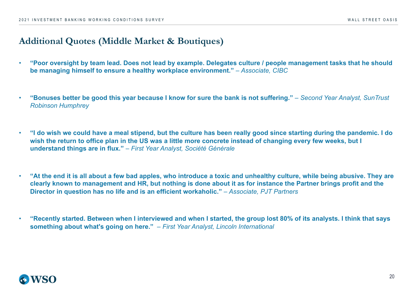### **Additional Quotes (Middle Market & Boutiques)**

- **"Poor oversight by team lead. Does not lead by example. Delegates culture / people management tasks that he should be managing himself to ensure a healthy workplace environment."** *– Associate, CIBC*
- **"Bonuses better be good this year because I know for sure the bank is not suffering."** *Second Year Analyst, SunTrust Robinson Humphrey*
- **"I do wish we could have a meal stipend, but the culture has been really good since starting during the pandemic. I do wish the return to office plan in the US was a little more concrete instead of changing every few weeks, but I understand things are in flux."** – *First Year Analyst, Société Générale*
- **"At the end it is all about a few bad apples, who introduce a toxic and unhealthy culture, while being abusive. They are clearly known to management and HR, but nothing is done about it as for instance the Partner brings profit and the Director in question has no life and is an efficient workaholic."** *– Associate, PJT Partners*
- **"Recently started. Between when I interviewed and when I started, the group lost 80% of its analysts. I think that says something about what's going on here."** *– First Year Analyst, Lincoln International*